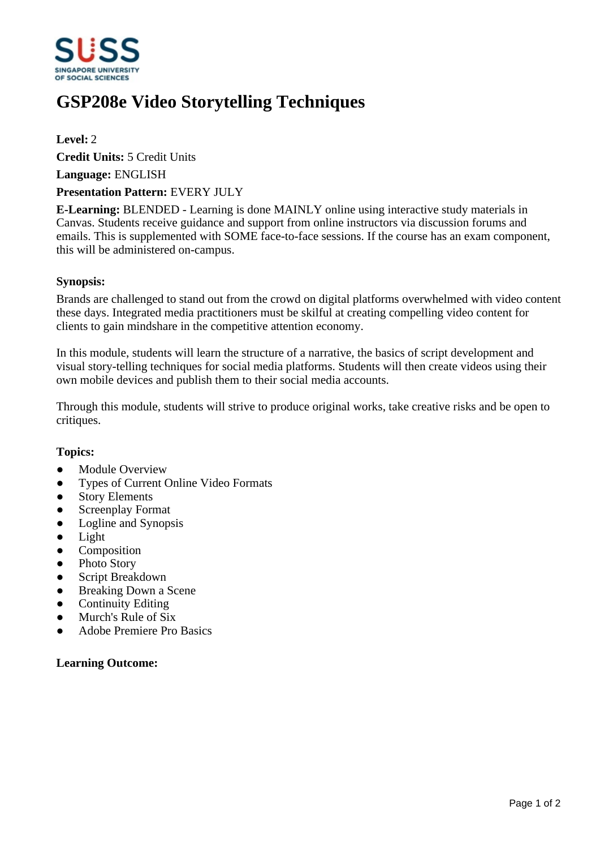

# **GSP208e Video Storytelling Techniques**

# **Level:** 2

**Credit Units:** 5 Credit Units

**Language:** ENGLISH

## **Presentation Pattern:** EVERY JULY

**E-Learning:** BLENDED - Learning is done MAINLY online using interactive study materials in Canvas. Students receive guidance and support from online instructors via discussion forums and emails. This is supplemented with SOME face-to-face sessions. If the course has an exam component, this will be administered on-campus.

## **Synopsis:**

Brands are challenged to stand out from the crowd on digital platforms overwhelmed with video content these days. Integrated media practitioners must be skilful at creating compelling video content for clients to gain mindshare in the competitive attention economy.

In this module, students will learn the structure of a narrative, the basics of script development and visual story-telling techniques for social media platforms. Students will then create videos using their own mobile devices and publish them to their social media accounts.

Through this module, students will strive to produce original works, take creative risks and be open to critiques.

# **Topics:**

- Module Overview
- Types of Current Online Video Formats
- Story Elements
- Screenplay Format
- ƔLogline and Synopsis
- $\bullet$  Light
- Composition
- Photo Story
- Script Breakdown
- Breaking Down a Scene
- Continuity Editing
- Murch's Rule of Six
- ƔAdobe Premiere Pro Basics

#### **Learning Outcome:**